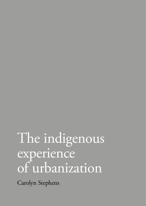## The indigenous experience of urbanization

Carolyn Stephens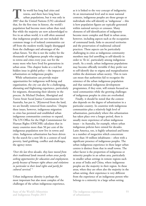**T**he world has long had cities and towns, and there have long been urban populations, but it was only in 2007 that the United Nations (UN) calculated that, for the first time in history, the world's population had become more urban than rural. But while the majority are now acknowledged to live in an urban world, it is still often assumed that indigenous peoples are not included: the common image is of isolated communities cut off from the modern world, largely disengaged from the challenges and advantages of the urban future. Yet this is not the reality for the thousands of indigenous people who migrate to towns and cities every year, nor for the many more who have lived for generations in urban areas. This chapter looks at a real but hidden issue in global policy – the impacts of urbanization on indigenous peoples.

While urbanization can provide major opportunities for indigenous well-being and organization, the city can also be a challenging, alienating and frightening experience, particularly for migrants, threatening their identity in the process. As Michael Dodson, Aboriginal and Torres Strait Social Justice Commissioner for Australia, has put it, '[R]emoved from the land, we are literally removed from ourselves.' Despite these issues, however, indigenous migration to cities has persisted and established urban indigenous communities continue to expand. The UN Office for the High Commissioner for Human Rights (OHCHR) calculates that in many countries more than 50 per cent of the indigenous population now live in towns and cities. Indigenous urbanization has been driven by the search for a new life in a context of rural poverty, land grabbing, conflict and challenges, the agency notes:

*'Over the last three decades, they have moved from their traditional lands towards urban areas partly seeking opportunities for education and employment, partly because of human rights abuses and violations in particular to their land rights and partly for cultural survival.'* <sup>1</sup>

Urban indigenous identity is perhaps the most important but also most complex of the challenges of the urban indigenous experience, as it is linked to the very concept of indigeneity. At an international level and in most national contexts, indigenous peoples are those groups or individuals who self-identify as 'indigenous' – this is how population figures are typically generated within national surveys or censuses. Many elements of self-identification of indigeneity become more complex and fluid in urban areas, however, including aspects such as the occupation of communal lands, links to ancestral territories and the preservation of traditional cultural practices. These aspects can be particularly challenging in cities as indigenous community members may feel unwilling to self-identify in order to 'fit in', particularly among indigenous youth. As a result, urban indigenous populations may become officially invisible if they prefer not to self-identify due to stigma and marginalization within the dominant urban society. This in turn can mean that authorities fail to recognize the existence of the urban indigenous population and that national indigenous development programmes, if they exist, will remain focused on rural communities while the growing challenges of indigenous peoples in cities are overlooked.

Finally, it should be noted that the context also depends on the degree of urbanization in a particular country. In countries with indigenous communities plus a relatively high level of urbanization, particularly where this urbanization has taken place over a longer period, there is usually more experience of urban indigenous issues – in Australia, for example, where urban indigenous policies have existed for decades. Latin America, too, is highly urbanized and home to a number of megacities which concentrate more than 10 million inhabitants – often with a significant presence of indigenous peoples. The urban indigenous experience in these larger urban centres is distinct from that in small towns. The other factor is the proportion of indigenous or minority peoples in an urban area, particularly in smaller urban settings in remote regions such as areas of India and China, where indigenous peoples are the majority in their region. In these areas, when they are often also the majority in the urban setting, their experience is very different from the experience of an indigenous person who belongs to a minority in a large urban setting.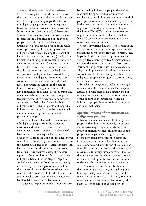**Increased international attention** Despite a strong focus over the last decades on the process of world urbanization and its impacts on different population groups, the situation of indigenous peoples in urban settings only began to reach international attention recently. It was not until 2007 that the UN Permanent Forum on Indigenous Issues first hosted a special meeting on the urban situation of indigenous peoples. According to UN-Habitat, the urbanization of indigenous peoples is the result of two processes: (i) cities growing to engulf indigenous settlements, making their ancestral lands part of the urban space; and (ii) migration by members of indigenous peoples to towns and cities for various reasons. The main difference between these two is based on the relationship that the communities have to the land they occupy. When indigenous land is overtaken by urban space, the indigenous community may continue to live on ancestral lands, although now in an urbanized setting. In the case of forced or voluntary migration, on the other hand, indigenous individuals are in-migrants like other new arrivals to the city. Both groups are frequently exposed to discrimination, however; according to UN-Habitat: 'generally, both indigenous rural–urban migrants and long-time indigenous "urbanites" tend to be marginalized and discriminated against by dominant population groups'.

 Common factors that lead to the movement of indigenous peoples from their lands and territories and towards cities include poverty, environmental factors, conflict, the absence of basic services and inadequate legal protection over ancestral lands. In Chile, for instance, 34 per cent of the national indigenous population live in the metropolitan area of the capital Santiago, and have been there for decades since mass exodus from rural areas occurred during the military regime of Augusto Pinochet. More recently, the indigenous Bedouin of the Negev (*Naqab* in Arabic) desert region of Israel are being forcibly urbanized by the Israeli government to allow their ancestral lands to be developed, with the result that their traditional lifestyle of land-based semi-nomadic pastoralism is being replaced with landless, labour-force-led urbanization.

Indigenous migration to urban areas may also

be initiated by indigenous peoples themselves, motivated by opportunities for improved employment, health, housing, education, political participation or other benefits that they may lack in their own territories. The rural–urban internal migration of the Māori, for instance, began after the Second World War, when they started to migrate in greater numbers than ever before. Now, 70 per cent of Māori individuals reside outside their traditional lands.

What is important, however, is to recognize the diversity of urban indigenous experience and the possibilities as well as the risks cities present. 'The impacts of urban areas on indigenous peoples vary greatly,' according to Elsa Stamatopoulou, Chief of the Secretariat of the UN Permanent Forum on Indigenous Issues. 'Some are able to adapt and improve their situations considerably without loss of cultural identity; in other cases, indigenous peoples are subject to discrimination, exclusion and violence.'

So, whether indigenous peoples are moving to urban areas with hopes for a new life, escaping hardship in rural areas or have already lived in urban areas for generations, what is the evidence of the impacts of the urban experience on indigenous peoples in terms of health, progress and social well-being?

## **Specific impacts of urbanization on indigenous peoples**

Urbanization as a process can affect indigenous peoples either directly or indirectly, in positive and negative ways. Impacts can also vary by group: indigenous women, children and young people may be particularly negatively affected by the new urban environment in terms of, for example, access to safe housing, water and sanitation, personal security and alienation. The most direct impact, or certainly the most readily measurable, is through urban poverty – most of the indigenous peoples who migrate or relocate to urban areas end up in the low-income informal settlements that dominate cities and towns in Latin America, Asia and Africa. In these areas they have limited access to good quality urban housing, healthy food, clean water and health services. Even in Australia, with a long tradition of indigenous urbanization, urban Aboriginal people are often forced to choose between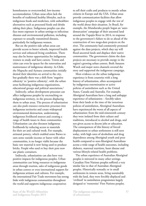homelessness or overcrowded, low-income accommodation. Urban areas often lack the benefits of traditional healthy lifestyles, such as indigenous foods and medicines, with unhealthier alternatives such as processed foods and drinks taking their place. Indigenous peoples can also face more exposure in urban settings to infectious diseases and environmental pollution, including exposure to sexually transmitted diseases, particularly for indigenous women.

But on the positive side urban areas can provide access to better schools, improved health services and enhanced living conditions. There may also be better opportunities for indigenous women to study and have careers. Towns and cities can even be spaces for the renovation and maintenance of indigenous identity. In Chile, the Mapuche and Aymara communities initially denied their identities on arrival to the city, but gradually there was a shift from 'negative ethnicity' to 'positive ethnicity', with the urban areas facilitating indigenous organizations, educational groups and political associations.2

Indirectly, urban development processes can affect indigenous peoples by encroaching on indigenous territory, in the process displacing them to urban areas. The process of urbanization can also push resource extraction processes into indigenous territories and create widespread environmental destruction, undermining indigenous livelihood sources and creating a range of health issues in these communities. Urbanization can also threaten indigenous livelihoods by reducing access to materials for their art and cultural work. For example, artisanal pottery, which enabled some Batwa to earn some outside income or barter with other communities, is no longer viable because the basic raw material is now being used to produce bricks. People who used to buy their pots now use plastic containers.

Indirectly, urbanization can also have very positive impacts for indigenous peoples. Urban communities can bring resources to indigenous areas through tourism, sales of indigenous goods in urban centres or even international support for indigenous artisans and cultures. For example, the international Fair Trade movement has strong links with indigenous communities throughout the world and supports indigenous cooperatives

to sell their crafts and products to mostly urban citizens in Europe and the USA. Urban areas provide communication facilities that allow indigenous peoples to engage with the rest of the world about their situation. In Brazil, for example, the Munduruku people began an 'autodemarcation' campaign of their ancestral land around the Tapajós River in 2014, in response to the government's failure to do so ahead of the construction of two mega-dam projects on the river. The community had consistently protested against the dam projects, which they say will flood ancestral lands and displace their native communities. The government claims the dam projects are necessary to provide energy to the region's growing urban centres. Both Amazon Watch and major news channels covered the story and supported the indigenous campaign.

Most evidence on the urban indigenous experience is from countries with a long history of urbanization, often accompanied by indigenous extermination or active policies of assimilation such as the United States, Canada and Australia. For example, Aboriginal Australians have a long and unhappy experience of urbanization – forcibly taken from their lands at the time of the notorious policies of assimilation, Aboriginal Australians have experienced the worst of all aspects of urbanization: from the mid-nineteenth century they were isolated from their culture and traditions, introduced to alcohol and drugs, and not given access to decent jobs or education. The consequences of this history of forced displacement to urban settlements is still seen today, with high rates of alcoholism and drug dependence among Aboriginal youth and poor health compared to non-Aboriginal Australians across a wide range of health outcomes, including diabetes, maternal nutrition, heart disease and various lifestyle-related health problems.

The urban experience of Australian Aboriginal peoples is mirrored in many other settings. Canadian First Nations peoples suffered a very similar fate to that of Australian Aboriginal peoples. Historically nomadic or in small settlements in remote areas, living sustainably with the land, they were forcibly displaced and 'civilized' in assimilation programmes largely designed to 'westernize' First Nations peoples.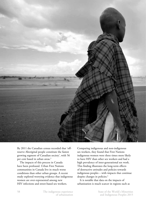

By 2011 the Canadian census recorded that 'offreserve Aboriginal people constitute the fastest growing segment of Canadian society', with 56 per cent based in urban areas.3

The impacts of this process in Canada have been profound. Urban First Nations communities in Canada live in much worse conditions than other urban groups. A recent study explored worrying evidence that indigenous women are over-represented among new HIV infections and street-based sex workers.

Comparing indigenous and non-indigenous sex workers, they found that First Nations indigenous women were three times more likely to have HIV than other sex workers and had a high prevalence of inter-generational sex work. This finding illustrates the long-term effects of destructive attitudes and policies towards indigenous peoples – with impacts that continue despite changes in policies.<sup>4</sup>

It is notable that data on the impacts of urbanization is much scarcer in regions such as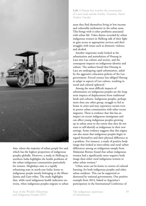

Asia, where the majority of urban people live and which has the highest proportion of indigenous peoples globally. However, a study in Shillong in northern India highlights the health problems of the urban indigenous communities particularly for women. Meghalaya state is a rapidly urbanizing state in north-east India, home to indigenous people mostly belonging to the Khasi-Jaintia and Garo tribes. The study highlights that, while rural indigenous health indicators are worse, when indigenous peoples migrate to urban

**Left:** A Maasai boy watches the construction of a new road outside Arusha, Tanzania. *Panos/ Frederic Courbet*

areas they find themselves living in low-income and vulnerable settlements in the urban areas. This brings with it other problems associated with urban life. Video diaries recorded by urban indigenous women in Shillong talk of their fight to gain access to appropriate services and their struggles with issues such as domestic violence and alcohol.

Another important study looked at the urbanization and assimilation of Hmong in Laos into Lao culture and society, and the consequent impacts on indigenous identity and culture. The authors found that Hmong in Laos are undergoing rapid urbanization, aided by the aggressive relocation policies of the Lao government. Forced contact has obliged Hmong to adapt to aspects of Lao culture, resulting in social and cultural upheaval.<sup>5</sup>

Among the most difficult impacts of urbanization on indigenous peoples are the longterm impacts of displacement from traditional lands and cultures. Indigenous peoples, perhaps more than any other group, struggle to feel at home in cities and may experience racism even in poorer urban communities with other recent migrants. There is evidence that this has an impact on recent indigenous immigrants and can affect young indigenous peoples growing up in urban areas to the extent that they do not want to self-identify as indigenous in their new settings. Some evidence suggests that this stigma can also mean that indigenous peoples begin to regard themselves and their physical difference as a problem. For instance, a study of positive body image that looked at inter-ethnic and rural–urban differences among an indigenous sample from Malaysian Borneo found that urban indigenous women had a significantly more negative body image than either rural indigenous women or other urban women.<sup>6</sup>

Urban areas can be home to centres of cultural learning, for both indigenous peoples and other urban residents. This can be supported or destroyed by national governments. One positive example from 2014, linked to Argentina's participation in the International Conference of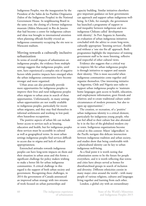Indigenous Peoples, was the inauguration by the President of the Salón de los Pueblos Originarios (Salon of the Indigenous Peoples) in the National Government House. In neighbouring Brazil in the same year, the closing of a former indigenous museum (Aldeia Maracanã) in Rio de Janeiro that had become a centre for indigenous culture and ideas was brought to international attention when planning officials forcibly evicted an indigenous community occupying the site next to Maracanã stadium.

## **Moving towards a culturally inclusive urbanization**

In terms of overall impacts of urbanization on indigenous peoples, the evidence from multiple settings suggests that indigenous peoples, until now, have experienced a complex mix of negative factors while positive impacts have emerged when the urban indigenous communities have become stronger and more organized.

Urban areas can also potentially provide more opportunities for indigenous peoples to improve their lives and rural indigenous peoples often migrate to urban areas in search of these opportunities. Unfortunately, in many settings urban opportunities are not readily available to indigenous peoples, particularly for recent urban migrants, and they may find themselves in informal settlements and working in low-paid, often hazardous occupations.

The positive aspects of urban life can include better access to services such as housing, education and health, but for indigenous peoples these services must be accessible in cultural as well as geographical terms. In most urban settings indigenous peoples find services difficult to access due to stigma and lack of cultural appropriateness.

Entrenched attitudes towards indigenous peoples can have long-term impacts on them and their situation in urban areas and this forms a significant challenge for policy makers wishing to make a better life for urban indigenous communities. A critical challenge in this regard is the support of both urban society and government. Recognizing these challenges, in 2014 the government of Canada announced an improved urban strategy with two streams of work focused on urban partnerships and

capacity building. Similar initiatives elsewhere give important guidance on how governments can approach and support urban indigenous wellbeing. In Chile, for example, the government has launched a programme of support to end inequality between indigenous and nonindigenous Chileans called 'development with identity'. In Port Augusta in Australia, an evaluation of urban indigenous initiatives concluded with the advice to create long-term, culturally appropriate 'listening services', flexible and without a 'one size fits all' approach. Both programmes highlight the importance of training government staff to be more listening, reflexive and respectful of other cultural views.

Evidence also suggests that a critical way to improve life for urban indigenous peoples is through initiatives to support and sustain their identity. This is most successful when indigenous communities come together and organize themselves. One interesting initiative in Argentina, Chile and Nigeria uses radio to support urban indigenous peoples to 'maintain home languages; gain access to health, education, and employment information; greet friends and relatives; and re-create traditional culture under circumstances of modern pressures, but also to open up opportunities'.7

The creation, or recreation, of a 'positive' urban indigenous identity is a critical element, particularly for indigenous young people, who can feel allied to their culture but also alienated by it in the face of the globalized modern city or town. Indigenous organizations become critical in this context: Māori 'edgewalkers' in the Pacific navigate this delicate intersection between indigenous tradition and urban society, and studies show that being comfortable with a pluricultural identity can be key to urban indigenous well-being.

As a final point it is worth noting that urbanization seems to be the future for people everywhere, and it is worth reflecting that towns and cities have always served as homes for disenfranchised groups in search of inclusion and diversity. Different ethnicities coexist in many major cities around the world – with many people of various religions, cultures and languages living together and learning from each other.

London, a global city with an extraordinary